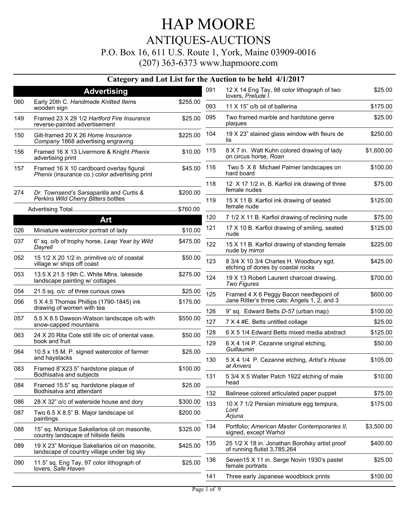### HAP MOORE ANTIQUES-AUCTIONS P.O. Box 16, 611 U.S. Route 1, York, Maine 03909-0016

|     |                                                                                             |          |            | Category and Lot List for the Auction to be held 4/1/2017                             |                     |
|-----|---------------------------------------------------------------------------------------------|----------|------------|---------------------------------------------------------------------------------------|---------------------|
|     | <b>Advertising</b>                                                                          |          | 091        | 12 X 14 Eng Tay, 98 color lithograph of two<br>lovers, Prelude I                      | \$25.00             |
| 060 | Early 20th C. Handmade Knitted Items<br>wooden sign                                         | \$255.00 | 093        | 11 X 15" o/b oil of ballerina                                                         | \$175.00            |
| 149 | Framed 23 X 29 1/2 Hartford Fire Insurance<br>reverse-painted advertisement                 | \$25.00  | 095        | Two framed marble and hardstone genre<br>plaques                                      | \$25.00             |
| 150 | Gilt-framed 20 X 26 Home Insurance<br>Company 1868 advertising engraving                    | \$225.00 | 104        | 19 X 23" stained glass window with fleurs de<br>lis                                   | \$250.00            |
| 156 | Framed 16 X 13 Livermore & Knight Phenix<br>advertising print                               | \$10.00  | 115        | 8 X 7 in. Walt Kuhn colored drawing of lady<br>on circus horse, Roan                  | \$1,600.00          |
| 157 | Framed 16 X 10 cardboard overlay figural<br>Phenix (insurance co.) color advertising print  | \$45.00  | 116        | Two 5 X 8 Michael Palmer landscapes on<br>hard board                                  | \$100.00            |
| 274 | Dr. Townsend's Sarsaparilla and Curtis &                                                    | \$200.00 | 118        | 12 X 17 1/2 in. B. Karfiol ink drawing of three<br>female nudes                       | \$75.00             |
|     | Perkins Wild Cherry Bitters bottles                                                         |          | 119        | 15 X 11 B. Karfiol ink drawing of seated<br>female nude                               | \$125.00            |
|     |                                                                                             |          |            |                                                                                       |                     |
|     | Art                                                                                         |          | 120        | 7 1/2 X 11 B. Karfiol drawing of reclining nude                                       | \$75.00             |
| 026 | Miniature watercolor portrait of lady                                                       | \$10.00  | 121        | 17 X 10 B. Karfiol drawing of smiling, seated<br>nude                                 | \$125.00            |
| 037 | 6" sq. o/b of trophy horse, Leap Year by Wild<br>Dayrell                                    | \$475.00 | 122        | 15 X 11 B. Karfiol drawing of standing female<br>nude by mirror                       | \$225.00            |
| 052 | 15 1/2 X 20 1/2 in. primitive o/c of coastal<br>village w/ ships off coast                  | \$50.00  | 123        | 8 3/4 X 10 3/4 Charles H. Woodbury sgd.<br>etching of dories by coastal rocks         | \$425.00            |
| 053 | 13.5 X 21.5 19th C. White Mtns. lakeside<br>landscape painting w/ cottages                  | \$275.00 | 124        | 19 X 13 Robert Laurent charcoal drawing,<br><b>Two Figures</b>                        | \$700.00            |
| 054 | 21.5 sq. o/c of three curious cows                                                          | \$25.00  | 125        | Framed 4 X 6 Peggy Bacon needlepoint of                                               | \$600.00            |
| 056 | 5 X 4.5 Thomas Phillips (1790-1845) ink<br>drawing of women with tea                        | \$175.00 |            | Jane Ritter's three cats: Angels 1, 2, and 3                                          |                     |
| 057 | 5.5 X 8.5 Dawson-Watson landscape o/b with                                                  | \$550.00 | 126        | 9" sq. Edward Betts D-57 (urban map)                                                  | \$100.00            |
|     | snow-capped mountains                                                                       |          | 127        | 7 X 4 #E. Betts untitled collage                                                      | \$25.00             |
| 063 | 24 X 20 Rita Cote still life o/c of oriental vase,<br>book and fruit                        | \$50.00  | 128<br>129 | 6 X 5 1/4 Edward Betts mixed media abstract<br>6 X 4 1/4 P. Cezanne original etching, | \$125.00<br>\$50.00 |
| 064 | 10.5 x 15 M. P. signed watercolor of farmer                                                 | \$25.00  |            | Guillaumin                                                                            |                     |
| 083 | and haystacks<br>Framed 8"X23.5" hardstone plaque of                                        | \$100.00 | 130        | 5 X 4 1/4 P. Cezanne etching, Artist's House<br>at Anvers                             | \$105.00            |
|     | Bodhisatva and subjects                                                                     |          | 131        | 5 3/4 X 5 Walter Patch 1922 etching of male<br>head                                   | \$10.00             |
| 084 | Framed 15.5" sq. hardstone plaque of<br>Bodhisatva and attendant                            | \$25.00  | 132        | Balinese colored articulated paper puppet                                             | \$75.00             |
| 086 | 28 X 32" o/c of waterside house and dory                                                    | \$300.00 | 133        | 10 X 7 1/2 Persian miniature egg tempura,                                             | \$175.00            |
| 087 | Two 6.5 X 8.5" B. Major landscape oil<br>paintings                                          | \$200.00 |            | Lord<br>Arjuna                                                                        |                     |
| 088 | 15" sq. Monique Sakellarios oil on masonite,<br>country landscape of hillside fields        | \$325.00 | 134        | Portfolio; American Master Contemporaries II,<br>signed, except Warhol                | \$3,500.00          |
| 089 | 19 X 23" Monique Sakellarios oil on masonite,<br>landscape of country village under big sky | \$425.00 | 135        | 25 1/2 X 18 in. Jonathan Borofsky artist proof<br>of running flutist 3,785,264        | \$400.00            |
| 090 | 11.5" sq. Eng Tay, 97 color lithograph of<br>lovers, Safe Haven                             | \$25.00  | 136        | Seven15 X 11 in. Serge Novin 1930's pastel<br>female portraits                        | \$25.00             |
|     |                                                                                             |          | 141        | Three early Japanese woodblock prints                                                 | \$100.00            |
|     |                                                                                             |          |            |                                                                                       |                     |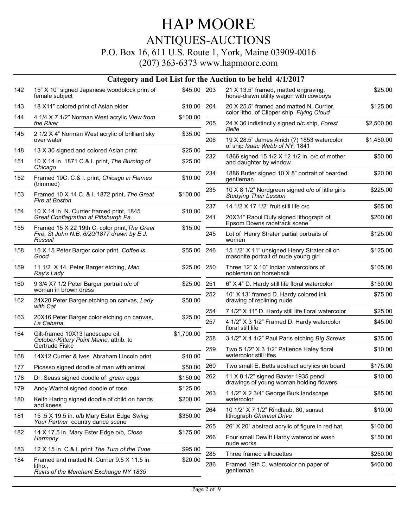#### P.O. Box 16, 611 U.S. Route 1, York, Maine 03909-0016

|     |                                                                                                        |             |     | Category and Lot List for the Auction to be held 4/1/2017                                 |            |
|-----|--------------------------------------------------------------------------------------------------------|-------------|-----|-------------------------------------------------------------------------------------------|------------|
| 142 | 15" X 10" signed Japanese woodblock print of<br>female subject                                         | \$45.00 203 |     | 21 X 13.5" framed, matted engraving,<br>horse-drawn utility wagon with cowboys            | \$25.00    |
| 143 | 18 X11" colored print of Asian elder                                                                   | \$10.00     | 204 | 20 X 25.5" framed and matted N. Currier,                                                  | \$125.00   |
| 144 | 4 1/4 X 7 1/2" Norman West acrylic View from<br>the River                                              | \$100.00    | 205 | color litho. of Clipper ship Flying Cloud<br>24 X 36 indistinctly signed o/c ship, Forest | \$2,500.00 |
| 145 | 2 1/2 X 4" Norman West acrylic of brilliant sky<br>over water                                          | \$35.00     | 206 | Belle<br>19 X 28.5" James Alrich (?) 1853 watercolor                                      | \$1,450.00 |
| 148 | 13 X 30 signed and colored Asian print                                                                 | \$25.00     |     | of ship Isaac Webb of NY, 1841                                                            |            |
| 151 | 10 X 14 in. 1871 C.& I. print, The Burning of<br>Chicago                                               | \$25.00     | 232 | 1866 signed 15 1/2 X 12 1/2 in. o/c of mother<br>and daughter by window                   | \$50.00    |
| 152 | Framed 19C. C.& I. print, Chicago in Flames<br>(trimmed)                                               | \$10.00     | 234 | 1886 Butler signed 10 X 8" portrait of bearded<br>gentleman                               | \$20.00    |
| 153 | Framed 10 X 14 C. & I. 1872 print, The Great<br>Fire at Boston                                         | \$100.00    | 235 | 10 X 8 1/2" Nordgreen signed o/c of little girls<br><b>Studying Their Lesson</b>          | \$225.00   |
| 154 | 10 X 14 in. N. Currier framed print, 1845                                                              | \$10.00     | 237 | 14 1/2 X 17 1/2" fruit still life o/c                                                     | \$65.00    |
|     | Great Conflagration at Pittsburgh Pa.                                                                  |             | 241 | 20X31" Raoul Dufy signed lithograph of<br>Epsom Downs racetrack scene                     | \$200.00   |
| 155 | Framed 15 X 22 19th C. color print, The Great<br>Fire, St John N.B. 6/20/1877 drawn by E J.<br>Russell | \$15.00     | 245 | Lot of Henry Strater partial portraits of<br>women                                        | \$125.00   |
| 158 | 16 X 15 Peter Barger color print, Coffee is<br>Good                                                    | \$55.00     | 246 | 15 1/2" X 11" unsigned Henry Strater oil on<br>masonite portrait of nude young girl       | \$125.00   |
| 159 | 11 1/2 X 14 Peter Barger etching, Man<br>Ray's Lady                                                    | \$25.00     | 250 | Three 12" X 10" Indian watercolors of<br>nobleman on horseback                            | \$105.00   |
| 160 | 9 3/4 X7 1/2 Peter Barger portrait o/c of<br>woman in brown dress                                      | \$25.00     | 251 | 6" X 4" D. Hardy still life floral watercolor                                             | \$150.00   |
| 162 | 24X20 Peter Barger etching on canvas, Lady<br>with Cat                                                 | \$50.00     | 252 | 10" X 13" framed D. Hardy colored ink<br>drawing of reclining nude                        | \$75.00    |
| 163 | 20X16 Peter Barger color etching on canvas,                                                            |             | 254 | 7 1/2" X 11" D. Hardy still life floral watercolor                                        | \$25.00    |
|     | La Cabana                                                                                              | \$25.00     | 257 | 4 1/2" X 3 1/2" Framed D. Hardy watercolor<br>floral still life                           | \$45.00    |
| 164 | Gilt-framed 10X13 landscape oil,<br>October-Kittery Point Maine, attrib. to                            | \$1,700.00  | 258 | 3 1/2" X 4 1/2" Paul Paris etching Big Screws                                             | \$35.00    |
| 168 | Gertrude Fiske<br>14X12 Currier & Ives Abraham Lincoln print                                           | \$10.00     | 259 | Two 5 1/2" X 3 1/2" Patience Haley floral<br>watercolor still lifes                       | \$10.00    |
| 177 | Picasso signed doodle of man with animal                                                               | \$50.00     | 260 | Two small E. Betts abstract acrylics on board                                             | \$175.00   |
| 178 | Dr. Seuss signed doodle of green eggs                                                                  | \$150.00    | 262 | 11 X 8 1/2" signed Baxter 1935 pencil<br>drawings of young woman holding flowers          | \$10.00    |
| 179 | Andy Warhol signed doodle of rose                                                                      | \$125.00    |     |                                                                                           |            |
| 180 | Keith Haring signed doodle of child on hands<br>and knees                                              | \$200.00    | 263 | 1 1/2" X 2 3/4" George Burk landscape<br>watercolor                                       | \$85.00    |
| 181 | 15.5 X 19.5 in. o/b Mary Ester Edge Swing<br>Your Partner country dance scene                          | \$350.00    | 264 | 10 1/2" X 7 1/2" Rindlaub, 80, sunset<br>lithograph Channel Drive                         | \$10.00    |
| 182 | 14 X 17.5 in. Mary Ester Edge o/b, Close                                                               | \$175.00    | 265 | 26" X 20" abstract acrylic of figure in red hat                                           | \$100.00   |
|     | Harmony                                                                                                |             | 266 | Four small Dewitt Hardy watercolor wash<br>nude works                                     | \$150.00   |
| 183 | 12 X 15 in. C.& I. print The Turn of the Tune                                                          | \$95.00     | 285 | Three framed silhouettes                                                                  | \$250.00   |
| 184 | Framed and matted N. Currier 9.5 X 11.5 in.<br>litho.,<br>Ruins of the Merchant Exchange NY 1835       | \$20.00     | 286 | Framed 19th C. watercolor on paper of<br>gentleman                                        | \$400.00   |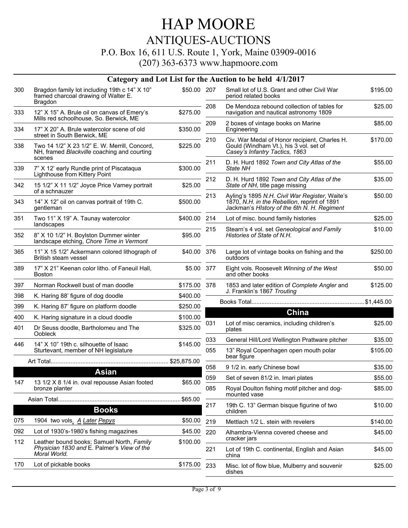#### P.O. Box 16, 611 U.S. Route 1, York, Maine 03909-0016

| \$50.00 207<br>Bragdon family lot including 19th c 14" X 10"<br>300<br>Small lot of U.S. Grant and other Civil War<br>framed charcoal drawing of Walter E.<br>period related books<br><b>Bragdon</b><br>208<br>De Mendoza rebound collection of tables for<br>\$275.00<br>333<br>12" X 15" A. Brule oil on canvas of Emery's<br>navigation and nautical astronomy 1809<br>Mills red schoolhouse, So. Berwick, ME<br>209<br>2 boxes of vintage books on Marine<br>\$350.00<br>334<br>17" X 20" A. Brule watercolor scene of old<br>Engineering<br>street in South Berwick, ME<br>210<br>Civ. War Medal of Honor recipient, Charles H.<br>Two 14 1/2" X 23 1/2" E. W. Merrill, Concord,<br>\$225.00<br>Gould (Windham Vt.), his 3 vol. set of<br>338<br>Casey's Infantry Tactics, 1863<br>NH, framed Blackville coaching and courting<br>scenes<br>211<br>D. H. Hurd 1892 Town and City Atlas of the<br>\$300.00<br>339<br>7" X 12' early Rundle print of Piscataqua<br>State NH<br>Lighthouse from Kittery Point<br>212<br>D. H. Hurd 1892 Town and City Atlas of the | \$195.00 |
|----------------------------------------------------------------------------------------------------------------------------------------------------------------------------------------------------------------------------------------------------------------------------------------------------------------------------------------------------------------------------------------------------------------------------------------------------------------------------------------------------------------------------------------------------------------------------------------------------------------------------------------------------------------------------------------------------------------------------------------------------------------------------------------------------------------------------------------------------------------------------------------------------------------------------------------------------------------------------------------------------------------------------------------------------------------------|----------|
|                                                                                                                                                                                                                                                                                                                                                                                                                                                                                                                                                                                                                                                                                                                                                                                                                                                                                                                                                                                                                                                                      |          |
|                                                                                                                                                                                                                                                                                                                                                                                                                                                                                                                                                                                                                                                                                                                                                                                                                                                                                                                                                                                                                                                                      | \$25.00  |
|                                                                                                                                                                                                                                                                                                                                                                                                                                                                                                                                                                                                                                                                                                                                                                                                                                                                                                                                                                                                                                                                      | \$85.00  |
|                                                                                                                                                                                                                                                                                                                                                                                                                                                                                                                                                                                                                                                                                                                                                                                                                                                                                                                                                                                                                                                                      | \$170.00 |
|                                                                                                                                                                                                                                                                                                                                                                                                                                                                                                                                                                                                                                                                                                                                                                                                                                                                                                                                                                                                                                                                      | \$55.00  |
| 15 1/2" X 11 1/2" Joyce Price Varney portrait<br>\$25.00<br>342<br>State of NH, title page missing                                                                                                                                                                                                                                                                                                                                                                                                                                                                                                                                                                                                                                                                                                                                                                                                                                                                                                                                                                   | \$35.00  |
| of a schnauzer<br>213<br>Ayling's 1895 N.H. Civil War Register, Waite's<br>343<br>14" X 12" oil on canvas portrait of 19th C.<br>\$500.00<br>1870, N.H. in the Rebellion, reprint of 1891<br>Jackman's HIstory of the 6th N. H. Regiment<br>gentleman                                                                                                                                                                                                                                                                                                                                                                                                                                                                                                                                                                                                                                                                                                                                                                                                                | \$50.00  |
| Two 11" X 19" A. Taunay watercolor<br>351<br>\$400.00 214<br>Lot of misc. bound family histories                                                                                                                                                                                                                                                                                                                                                                                                                                                                                                                                                                                                                                                                                                                                                                                                                                                                                                                                                                     | \$25.00  |
| landscapes<br>Stearn's 4 vol. set Geneological and Family<br>215<br>352<br>8" X 10 1/2" H. Boylston Dummer winter<br>\$95.00<br>Histories of State of N.H.<br>landscape etching, Chore Time in Vermont                                                                                                                                                                                                                                                                                                                                                                                                                                                                                                                                                                                                                                                                                                                                                                                                                                                               | \$10.00  |
| 11" X 15 1/2" Ackermann colored lithograph of<br>Large lot of vintage books on fishing and the<br>365<br>\$40.00 376<br>British steam vessel<br>outdoors                                                                                                                                                                                                                                                                                                                                                                                                                                                                                                                                                                                                                                                                                                                                                                                                                                                                                                             | \$250.00 |
| \$5.00 377<br>389<br>17" X 21" Keenan color litho. of Faneuil Hall,<br>Eight vols. Roosevelt Winning of the West<br><b>Boston</b><br>and other books                                                                                                                                                                                                                                                                                                                                                                                                                                                                                                                                                                                                                                                                                                                                                                                                                                                                                                                 | \$50.00  |
| Norman Rockwell bust of man doodle<br>397<br>\$175.00 378<br>1853 and later edition of Complete Angler and                                                                                                                                                                                                                                                                                                                                                                                                                                                                                                                                                                                                                                                                                                                                                                                                                                                                                                                                                           | \$125.00 |
| J. Franklin's 1867 Trouting<br>\$400.00<br>398<br>K. Haring 88' figure of dog doodle                                                                                                                                                                                                                                                                                                                                                                                                                                                                                                                                                                                                                                                                                                                                                                                                                                                                                                                                                                                 |          |
| \$250.00<br>399<br>K. Haring 87' figure on platform doodle                                                                                                                                                                                                                                                                                                                                                                                                                                                                                                                                                                                                                                                                                                                                                                                                                                                                                                                                                                                                           |          |
| China<br>\$100.00<br>400<br>K. Haring signature in a cloud doodle                                                                                                                                                                                                                                                                                                                                                                                                                                                                                                                                                                                                                                                                                                                                                                                                                                                                                                                                                                                                    |          |
| 031<br>Lot of misc ceramics, including children's<br>\$325.00<br>401<br>Dr Seuss doodle, Bartholomeu and The<br>plates<br><b>Oobleck</b>                                                                                                                                                                                                                                                                                                                                                                                                                                                                                                                                                                                                                                                                                                                                                                                                                                                                                                                             | \$25.00  |
| 033<br>General Hill/Lord Wellington Prattware pitcher<br>\$145.00<br>446<br>14" X 10" 19th c. silhouette of Isaac                                                                                                                                                                                                                                                                                                                                                                                                                                                                                                                                                                                                                                                                                                                                                                                                                                                                                                                                                    | \$35.00  |
| 055<br>13" Royal Copenhagen open mouth polar<br>Sturtevant, member of NH legislature<br>bear figure                                                                                                                                                                                                                                                                                                                                                                                                                                                                                                                                                                                                                                                                                                                                                                                                                                                                                                                                                                  | \$105.00 |
| 9 1/2 in. early Chinese bowl<br>058                                                                                                                                                                                                                                                                                                                                                                                                                                                                                                                                                                                                                                                                                                                                                                                                                                                                                                                                                                                                                                  | \$35.00  |
| Asian<br>059<br>Set of seven 81/2 in. Imari plates                                                                                                                                                                                                                                                                                                                                                                                                                                                                                                                                                                                                                                                                                                                                                                                                                                                                                                                                                                                                                   | \$55.00  |
| 147<br>13 1/2 X 8 1/4 in. oval repousse Asian footed<br>\$65.00<br>bronze planter<br>085<br>Royal Doulton fishing motif pitcher and dog-<br>mounted vase                                                                                                                                                                                                                                                                                                                                                                                                                                                                                                                                                                                                                                                                                                                                                                                                                                                                                                             | \$85.00  |
| \$65.00<br>19th C. 13" German bisque figurine of two<br>217<br><b>Books</b><br>children                                                                                                                                                                                                                                                                                                                                                                                                                                                                                                                                                                                                                                                                                                                                                                                                                                                                                                                                                                              | \$10.00  |
| 075<br>1904 two vols. A Later Pepys<br>\$50.00<br>219<br>Mettlach 1/2 L. stein with revelers                                                                                                                                                                                                                                                                                                                                                                                                                                                                                                                                                                                                                                                                                                                                                                                                                                                                                                                                                                         | \$140.00 |
| 092<br>Lot of 1930's-1980's fishing magazines<br>\$45.00<br>220<br>Alhambra-Vienna covered cheese and                                                                                                                                                                                                                                                                                                                                                                                                                                                                                                                                                                                                                                                                                                                                                                                                                                                                                                                                                                | \$45.00  |
| cracker jars<br>112<br>Leather bound books; Samuel North, Family<br>\$100.00<br>Physician 1830 and E. Palmer's View of the                                                                                                                                                                                                                                                                                                                                                                                                                                                                                                                                                                                                                                                                                                                                                                                                                                                                                                                                           |          |
| 221<br>Lot of 19th C. continental, English and Asian<br>Moral World.<br>china                                                                                                                                                                                                                                                                                                                                                                                                                                                                                                                                                                                                                                                                                                                                                                                                                                                                                                                                                                                        | \$45.00  |
| 170<br>Lot of pickable books<br>\$175.00<br>233<br>Misc. lot of flow blue, Mulberry and souvenir<br>dishes                                                                                                                                                                                                                                                                                                                                                                                                                                                                                                                                                                                                                                                                                                                                                                                                                                                                                                                                                           | \$25.00  |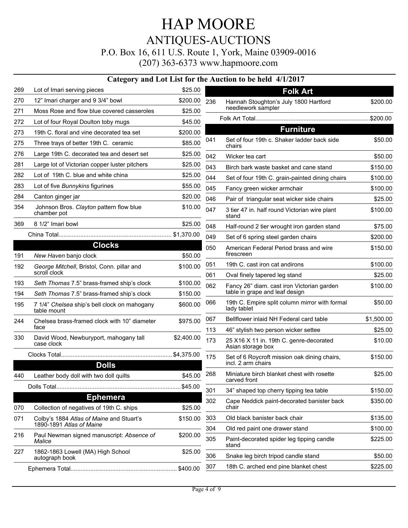### HAP MOORE ANTIQUES-AUCTIONS P.O. Box 16, 611 U.S. Route 1, York, Maine 03909-0016 (207) 363-6373 www.hapmoore.com

|     |                                                                      |            |     | Category and Lot List for the Auction to be held 4/1/2017          |            |
|-----|----------------------------------------------------------------------|------------|-----|--------------------------------------------------------------------|------------|
| 269 | Lot of Imari serving pieces                                          | \$25.00    |     | <b>Folk Art</b>                                                    |            |
| 270 | 12" Imari charger and 9 3/4" bowl                                    | \$200.00   | 236 | Hannah Stoughton's July 1800 Hartford                              | \$200.00   |
| 271 | Moss Rose and flow blue covered casseroles                           | \$25.00    |     | needlework sampler                                                 |            |
| 272 | Lot of four Royal Doulton toby mugs                                  | \$45.00    |     |                                                                    |            |
| 273 | 19th C. floral and vine decorated tea set                            | \$200.00   |     | <b>Furniture</b>                                                   |            |
| 275 | Three trays of better 19th C. ceramic                                | \$85.00    | 041 | Set of four 19th c. Shaker ladder back side<br>chairs              | \$50.00    |
| 276 | Large 19th C. decorated tea and desert set                           | \$25.00    | 042 | Wicker tea cart                                                    | \$50.00    |
| 281 | Large lot of Victorian copper luster pitchers                        | \$25.00    | 043 | Birch bark waste basket and cane stand                             | \$150.00   |
| 282 | Lot of 19th C. blue and white china                                  | \$25.00    | 044 | Set of four 19th C. grain-painted dining chairs                    | \$100.00   |
| 283 | Lot of five Bunnykins figurines                                      | \$55.00    | 045 | Fancy green wicker armchair                                        | \$100.00   |
| 284 | Canton ginger jar                                                    | \$20.00    | 046 | Pair of triangular seat wicker side chairs                         | \$25.00    |
| 354 | Johnson Bros. Clayton pattern flow blue<br>chamber pot               | \$10.00    | 047 | 3 tier 47 in. half round Victorian wire plant<br>stand             | \$100.00   |
| 369 | 8 1/2" Imari bowl                                                    | \$25.00    | 048 | Half-round 2 tier wrought iron garden stand                        | \$75.00    |
|     |                                                                      |            | 049 | Set of 6 spring steel garden chairs                                | \$200.00   |
| 191 | <b>Clocks</b><br>New Haven banjo clock                               | \$50.00    | 050 | American Federal Period brass and wire<br>firescreen               | \$150.00   |
| 192 | George Mitchell, Bristol, Conn. pillar and                           | \$100.00   | 051 | 19th C. cast iron cat andirons                                     | \$100.00   |
|     | scroll clock                                                         |            | 061 | Oval finely tapered leg stand                                      | \$25.00    |
| 193 | Seth Thomas 7.5" brass-framed ship's clock                           | \$100.00   | 062 | Fancy 26" diam. cast iron Victorian garden                         | \$100.00   |
| 194 | Seth Thomas 7.5" brass-framed ship's clock                           | \$150.00   |     | table in grape and leaf design                                     |            |
| 195 | 7 1/4" Chelsea ship's bell clock on mahogany<br>table mount          | \$600.00   | 066 | 19th C. Empire split column mirror with formal<br>lady tablet      | \$50.00    |
| 244 | Chelsea brass-framed clock with 10" diameter                         | \$975.00   | 067 | Bellflower inlaid NH Federal card table                            | \$1,500.00 |
|     | face                                                                 |            | 113 | 46" stylish two person wicker settee                               | \$25.00    |
| 330 | David Wood, Newburyport, mahogany tall<br>case clock                 | \$2,400.00 | 173 | 25 X16 X 11 in. 19th C. genre-decorated<br>Asian storage box       | \$10.00    |
|     |                                                                      |            | 175 | Set of 6 Roycroft mission oak dining chairs,<br>incl. 2 arm chairs | \$150.00   |
|     | <b>Dolls</b>                                                         |            |     |                                                                    |            |
| 440 | Leather body doll with two doll quilts                               | \$45.00    | 268 | Miniature birch blanket chest with rosette<br>carved front         | \$25.00    |
|     |                                                                      | \$45.00    | 301 | 34" shaped top cherry tipping tea table                            | \$150.00   |
|     | <b>Ephemera</b>                                                      |            | 302 | Cape Neddick paint-decorated banister back                         | \$350.00   |
| 070 | Collection of negatives of 19th C. ships                             | \$25.00    |     | chair                                                              |            |
| 071 | Colby's 1884 Atlas of Maine and Stuart's<br>1890-1891 Atlas of Maine | \$150.00   | 303 | Old black banister back chair                                      | \$135.00   |
| 216 | Paul Newman signed manuscript: Absence of                            | \$200.00   | 304 | Old red paint one drawer stand                                     | \$100.00   |
| 227 | Malice<br>1862-1863 Lowell (MA) High School                          | \$25.00    | 305 | Paint-decorated spider leg tipping candle<br>stand                 | \$225.00   |
|     | autograph book                                                       |            | 306 | Snake leg birch tripod candle stand                                | \$50.00    |
|     |                                                                      |            | 307 | 18th C. arched end pine blanket chest                              | \$225.00   |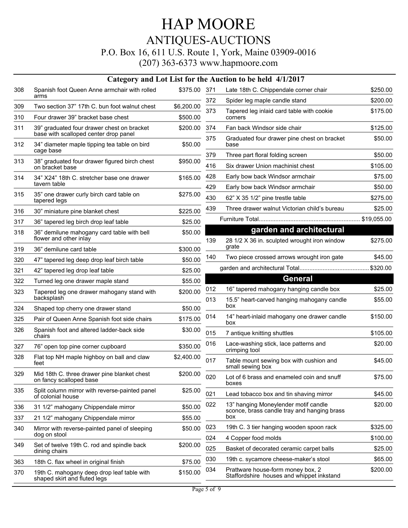#### P.O. Box 16, 611 U.S. Route 1, York, Maine 03909-0016

|            |                                                                                     |                        |            | Category and Lot List for the Auction to be held 4/1/2017                             |                    |
|------------|-------------------------------------------------------------------------------------|------------------------|------------|---------------------------------------------------------------------------------------|--------------------|
| 308        | Spanish foot Queen Anne armchair with rolled                                        | \$375.00 371           |            | Late 18th C. Chippendale corner chair                                                 | \$250.00           |
|            | arms                                                                                |                        | 372        | Spider leg maple candle stand                                                         | \$200.00           |
| 309<br>310 | Two section 37" 17th C. bun foot walnut chest<br>Four drawer 39" bracket base chest | \$6,200.00<br>\$500.00 | 373        | Tapered leg inlaid card table with cookie                                             | \$175.00           |
|            |                                                                                     |                        |            | corners                                                                               |                    |
| 311        | 39" graduated four drawer chest on bracket<br>base with scalloped center drop panel | \$200.00               | 374        | Fan back Windsor side chair                                                           | \$125.00           |
| 312        | 34" diameter maple tipping tea table on bird<br>cage base                           | \$50.00                | 375        | Graduated four drawer pine chest on bracket<br>base                                   | \$50.00            |
| 313        | 38" graduated four drawer figured birch chest                                       | \$950.00               | 379        | Three part floral folding screen                                                      | \$50.00            |
|            | on bracket base                                                                     |                        | 416        | Six drawer Union machinist chest                                                      | \$105.00           |
| 314        | 34" X24" 18th C. stretcher base one drawer                                          | \$165.00               | 428        | Early bow back Windsor armchair                                                       | \$75.00            |
|            | tavern table                                                                        |                        | 429        | Early bow back Windsor armchair                                                       | \$50.00            |
| 315        | 35" one drawer curly birch card table on<br>tapered legs                            | \$275.00               | 430        | 62" X 35 1/2" pine trestle table                                                      | \$275.00           |
| 316        | 30" miniature pine blanket chest                                                    | \$225.00               | 439        | Three drawer walnut Victorian child's bureau                                          | \$25.00            |
| 317        | 36" tapered leg birch drop leaf table                                               | \$25.00                |            |                                                                                       | \$19,055.00        |
| 318        | 36" demilune mahogany card table with bell                                          | \$50.00                |            | garden and architectural                                                              |                    |
|            | flower and other inlay                                                              |                        | 139        | 28 1/2 X 36 in. sculpted wrought iron window                                          | \$275.00           |
| 319        | 36" demilune card table                                                             | \$300.00               |            | grate                                                                                 |                    |
| 320        | 47" tapered leg deep drop leaf birch table                                          | \$50.00                | 140        | Two piece crossed arrows wrought iron gate                                            | \$45.00            |
| 321        | 42" tapered leg drop leaf table                                                     | \$25.00                |            |                                                                                       | \$320.00           |
| 322        | Turned leg one drawer maple stand                                                   | \$55.00                |            | <b>General</b>                                                                        |                    |
| 323        | Tapered leg one drawer mahogany stand with<br>backsplash                            | \$200.00               | 012<br>013 | 16" tapered mahogany hanging candle box<br>15.5" heart-carved hanging mahogany candle | \$25.00<br>\$55.00 |
| 324        | Shaped top cherry one drawer stand                                                  | \$50.00                |            | box                                                                                   |                    |
| 325        | Pair of Queen Anne Spanish foot side chairs                                         | \$175.00               | 014        | 14" heart-inlaid mahogany one drawer candle<br>box                                    | \$150.00           |
| 326        | Spanish foot and altered ladder-back side<br>chairs                                 | \$30.00                | 015        | 7 antique knitting shuttles                                                           | \$105.00           |
| 327        | 76" open top pine corner cupboard                                                   | \$350.00               | 016        | Lace-washing stick, lace patterns and<br>crimping tool                                | \$20.00            |
| 328        | Flat top NH maple highboy on ball and claw<br>feet                                  | \$2,400.00             | 017        | Table mount sewing box with cushion and<br>small sewing box                           | \$45.00            |
| 329        | Mid 18th C. three drawer pine blanket chest<br>on fancy scalloped base              | \$200.00               | 020        | Lot of 6 brass and enameled coin and snuff<br>boxes                                   | \$75.00            |
| 335        | Split column mirror with reverse-painted panel<br>of colonial house                 | \$25.00                | 021        | Lead tobacco box and tin shaving mirror                                               | \$45.00            |
| 336        | 31 1/2" mahogany Chippendale mirror                                                 | \$50.00                | 022        | 13" hanging Moneylender motif candle<br>sconce, brass candle tray and hanging brass   | \$20.00            |
| 337        | 21 1/2" mahogany Chippendale mirror                                                 | \$55.00                |            | box                                                                                   |                    |
| 340        | Mirror with reverse-painted panel of sleeping<br>dog on stool                       | \$50.00                | 023        | 19th C. 3 tier hanging wooden spoon rack                                              | \$325.00           |
| 349        |                                                                                     |                        | 024        | 4 Copper food molds                                                                   | \$100.00           |
|            | Set of twelve 19th C. rod and spindle back<br>dining chairs                         | \$200.00               | 025        | Basket of decorated ceramic carpet balls                                              | \$25.00            |
| 363        | 18th C. flax wheel in original finish                                               | \$75.00                | 030        | 19th c. sycamore cheese-maker's stool                                                 | \$65.00            |
| 370        | 19th C. mahogany deep drop leaf table with<br>shaped skirt and fluted legs          | \$150.00               | 034        | Prattware house-form money box, 2<br>Staffordshire houses and whippet inkstand        | \$200.00           |
|            |                                                                                     |                        |            |                                                                                       |                    |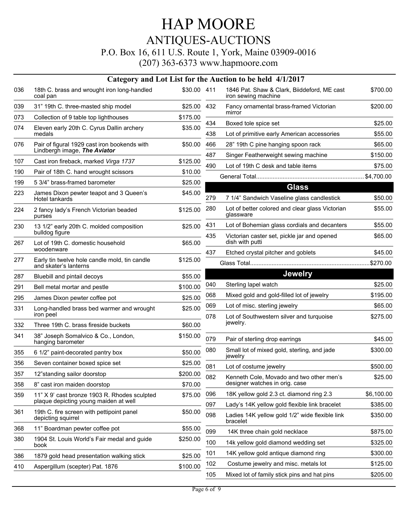#### P.O. Box 16, 611 U.S. Route 1, York, Maine 03909-0016

|     |                                                                              |             |            | Category and Lot List for the Auction to be held 4/1/2017                 |                     |
|-----|------------------------------------------------------------------------------|-------------|------------|---------------------------------------------------------------------------|---------------------|
| 036 | 18th C. brass and wrought iron long-handled<br>coal pan                      | \$30.00 411 |            | 1846 Pat. Shaw & Clark, Biiddeford, ME cast<br>iron sewing machine        | \$700.00            |
| 039 | 31" 19th C. three-masted ship model                                          | \$25.00     | 432        | Fancy ornamental brass-framed Victorian                                   | \$200.00            |
| 073 | Collection of 9 table top lighthouses                                        | \$175.00    |            | mirror                                                                    |                     |
| 074 | Eleven early 20th C. Cyrus Dallin archery                                    | \$35.00     | 434        | Boxed tole spice set                                                      | \$25.00             |
|     | medals                                                                       |             | 438        | Lot of primitive early American accessories                               | \$55.00             |
| 076 | Pair of figural 1929 cast iron bookends with<br>Lindbergh image, The Aviator | \$50.00     | 466        | 28" 19th C pine hanging spoon rack                                        | \$65.00             |
| 107 | Cast iron fireback, marked Virga 1737                                        | \$125.00    | 487        | Singer Featherweight sewing machine                                       | \$150.00            |
| 190 | Pair of 18th C. hand wrought scissors                                        | \$10.00     | 490        | Lot of 19th C desk and table items                                        | \$75.00             |
| 199 | 5 3/4" brass-framed barometer                                                | \$25.00     |            |                                                                           |                     |
| 223 | James Dixon pewter teapot and 3 Queen's<br>Hotel tankards                    | \$45.00     | 279        | <b>Glass</b><br>7 1/4" Sandwich Vaseline glass candlestick                | \$50.00             |
| 224 | 2 fancy lady's French Victorian beaded<br>purses                             | \$125.00    | 280        | Lot of better colored and clear glass Victorian<br>glassware              | \$55.00             |
| 230 | 13 1/2" early 20th C. molded composition                                     | \$25.00     | 431        | Lot of Bohemian glass cordials and decanters                              | \$55.00             |
| 267 | bulldog figure<br>Lot of 19th C. domestic household                          | \$65.00     | 435        | Victorian caster set, pickle jar and opened<br>dish with putti            | \$65.00             |
|     | woodenware                                                                   |             | 437        | Etched crystal pitcher and goblets                                        | \$45.00             |
| 277 | Early tin twelve hole candle mold, tin candle<br>and skater's lanterns       | \$125.00    |            |                                                                           |                     |
| 287 | Bluebill and pintail decoys                                                  | \$55.00     |            | <b>Jewelry</b>                                                            |                     |
| 291 | Bell metal mortar and pestle                                                 | \$100.00    | 040        | Sterling lapel watch                                                      | \$25.00             |
| 295 | James Dixon pewter coffee pot                                                | \$25.00     | 068        | Mixed gold and gold-filled lot of jewelry                                 | \$195.00            |
| 331 | Long-handled brass bed warmer and wrought<br>iron peel                       | \$25.00     | 069<br>078 | Lot of misc. sterling jewelry<br>Lot of Southwestern silver and turquoise | \$65.00<br>\$275.00 |
| 332 | Three 19th C. brass fireside buckets                                         | \$60.00     |            | jewelry.                                                                  |                     |
| 341 | 38" Joseph Somalvico & Co., London,<br>hanging barometer                     | \$150.00    | 079        | Pair of sterling drop earrings                                            | \$45.00             |
| 355 | 6 1/2" paint-decorated pantry box                                            | \$50.00     | 080        | Small lot of mixed gold, sterling, and jade<br>jewelry                    | \$300.00            |
| 356 | Seven container boxed spice set                                              | \$25.00     | 081        | Lot of costume jewelry                                                    | \$500.00            |
| 357 | 12"standing sailor doorstop                                                  | \$200.00    | 082        | Kenneth Cole, Movado and two other men's                                  | \$25.00             |
| 358 | 8" cast iron maiden doorstop                                                 | \$70.00     |            | designer watches in orig. case                                            |                     |
| 359 | 11" X 9' cast bronze 1903 R. Rhodes sculpted                                 | \$75.00     | 096        | 18K yellow gold 2.3 ct. diamond ring 2.3                                  | \$6,100.00          |
|     | plaque depicting young maiden at well                                        |             | 097        | Lady's 14K yellow gold flexible link bracelet                             | \$385.00            |
| 361 | 19th C. fire screen with pettipoint panel<br>depicting squirrel              | \$50.00     | 098        | Ladies 14K yellow gold 1/2" wide flexible link<br>bracelet                | \$350.00            |
| 368 | 11" Boardman pewter coffee pot                                               | \$55.00     | 099        | 14K three chain gold necklace                                             | \$875.00            |
| 380 | 1904 St. Louis World's Fair medal and guide<br>book                          | \$250.00    | 100        | 14k yellow gold diamond wedding set                                       | \$325.00            |
| 386 | 1879 gold head presentation walking stick                                    | \$25.00     | 101        | 14K yellow gold antique diamond ring                                      | \$300.00            |
| 410 | Aspergillum (scepter) Pat. 1876                                              | \$100.00    | 102        | Costume jewelry and misc. metals lot                                      | \$125.00            |
|     |                                                                              |             | 105        | Mixed lot of family stick pins and hat pins                               | \$205.00            |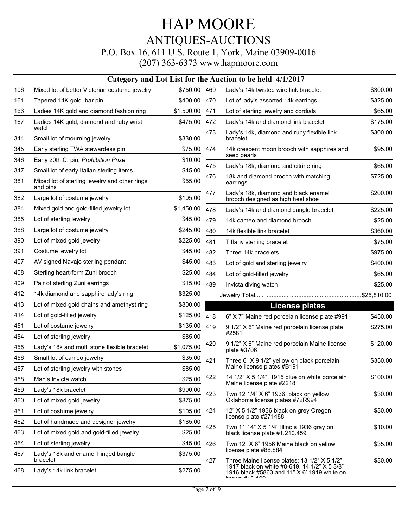### HAP MOORE ANTIQUES-AUCTIONS P.O. Box 16, 611 U.S. Route 1, York, Maine 03909-0016 (207) 363-6373 www.hapmoore.com

| 106<br>Mixed lot of better Victorian costume jewelry<br>\$750.00 469<br>Lady's 14k twisted wire link bracelet<br>161<br>Tapered 14K gold bar pin<br>\$400.00<br>470<br>Lot of lady's assorted 14k earrings<br>\$325.00<br>166<br>Ladies 14K gold and diamond fashion ring<br>\$1,500.00<br>471<br>Lot of sterling jewelry and cordials<br>\$65.00<br>167<br>Ladies 14K gold, diamond and ruby wrist<br>\$475.00<br>Lady's 14k and diamond link bracelet<br>\$175.00<br>472<br>watch<br>Lady's 14k, diamond and ruby flexible link<br>\$300.00<br>473<br>344<br>Small lot of mourning jewelry<br>\$330.00<br>bracelet<br>345<br>Early sterling TWA stewardess pin<br>\$75.00<br>474<br>14k crescent moon brooch with sapphires and<br>\$95.00<br>seed pearls<br>Early 20th C. pin, Prohibition Prize<br>346<br>\$10.00<br>475<br>\$65.00<br>Lady's 18k, diamond and citrine ring<br>347<br>Small lot of early Italian sterling items<br>\$45.00<br>476<br>18k and diamond brooch with matching<br>\$725.00<br>381<br>Mixed lot of sterling jewelry and other rings<br>\$55.00<br>earrings<br>and pins<br>Lady's 18k, diamond and black enamel<br>\$200.00<br>477<br>382<br>Large lot of costume jewelry<br>\$105.00<br>brooch designed as high heel shoe<br>Mixed gold and gold-filled jewelry lot<br>384<br>\$1,450.00<br>\$225.00<br>478<br>Lady's 14k and diamond bangle bracelet<br>385<br>Lot of sterling jewelry<br>\$45.00<br>479<br>14k cameo and diamond brooch<br>388<br>Large lot of costume jewelry<br>\$245.00<br>480<br>14k flexible link bracelet<br>390<br>Lot of mixed gold jewelry<br>\$225.00<br>481<br>\$75.00<br>Tiffany sterling bracelet<br>391<br>Costume jewelry lot<br>\$45.00<br>482<br>Three 14k bracelets<br>\$975.00<br>407<br>AV signed Navajo sterling pendant<br>\$45.00<br>483<br>Lot of gold and sterling jewelry<br>408<br>Sterling heart-form Zuni brooch<br>\$25.00<br>484<br>Lot of gold-filled jewelry<br>\$65.00<br>409<br>Pair of sterling Zuni earrings<br>\$15.00<br>489<br>\$25.00<br>Invicta diving watch<br>412<br>14k diamond and sapphire lady's ring<br>\$325.00<br>413<br>Lot of mixed gold chains and amethyst ring<br>\$800.00<br>License plates<br>Lot of gold-filled jewelry<br>\$125.00<br>414<br>418<br>6" X 7" Maine red porcelain license plate #991<br>\$450.00<br>\$135.00<br>451<br>Lot of costume jewelry<br>419<br>9 1/2" X 6" Maine red porcelain license plate<br>\$275.00<br>#2581<br>454<br>Lot of sterling jewelry<br>\$85.00<br>\$120.00<br>420<br>9 1/2" X 6" Maine red porcelain Maine license<br>Lady's 18k and multi stone flexible bracelet<br>\$1,075.00<br>455<br>plate #3706<br>456<br>Small lot of cameo jewelry<br>\$35.00<br>421<br>Three 6" X 9 1/2" yellow on black porcelain<br>\$350.00<br>Maine license plates #B191<br>\$85.00<br>457<br>Lot of sterling jewelry with stones<br>14 1/2" X 5 1/4" 1915 blue on white porcelain<br>422<br>\$100.00<br>\$25.00<br>458<br>Man's Invicta watch<br>Maine license plate #2218<br>459<br>Lady's 18k bracelet<br>\$900.00<br>423<br>\$30.00<br>Two 12 1/4" X 6" 1936 black on yellow<br>Oklahoma license plates #72R994<br>460<br>Lot of mixed gold jewelry<br>\$875.00<br>\$30.00<br>12" X 5 1/2" 1936 black on grey Oregon<br>424<br>Lot of costume jewelry<br>\$105.00<br>461<br>license plate #271488<br>462<br>Lot of handmade and designer jewelry<br>\$185.00<br>425<br>Two 11 14" X 5 1/4" Illinois 1936 gray on<br>\$10.00<br>463<br>Lot of mixed gold and gold-filled jewelry<br>\$25.00<br>black license plate #1.210.459<br>Lot of sterling jewelry<br>464<br>\$45.00<br>426<br>Two 12" X 6" 1956 Maine black on yellow<br>\$35.00<br>license plate #88.884<br>Lady's 18k and enamel hinged bangle<br>467<br>\$375.00<br>bracelet<br>\$30.00<br>427<br>Three Maine license plates: 13 1/2" X 5 1/2"<br>1917 black on white #8-649, 14 1/2" X 5 3/8"<br>468<br>Lady's 14k link bracelet<br>\$275.00<br>1916 black #5863 and 11" X 6' 1919 white on | Category and Lot List for the Auction to be held 4/1/2017 |  |  |  |          |  |  |  |
|--------------------------------------------------------------------------------------------------------------------------------------------------------------------------------------------------------------------------------------------------------------------------------------------------------------------------------------------------------------------------------------------------------------------------------------------------------------------------------------------------------------------------------------------------------------------------------------------------------------------------------------------------------------------------------------------------------------------------------------------------------------------------------------------------------------------------------------------------------------------------------------------------------------------------------------------------------------------------------------------------------------------------------------------------------------------------------------------------------------------------------------------------------------------------------------------------------------------------------------------------------------------------------------------------------------------------------------------------------------------------------------------------------------------------------------------------------------------------------------------------------------------------------------------------------------------------------------------------------------------------------------------------------------------------------------------------------------------------------------------------------------------------------------------------------------------------------------------------------------------------------------------------------------------------------------------------------------------------------------------------------------------------------------------------------------------------------------------------------------------------------------------------------------------------------------------------------------------------------------------------------------------------------------------------------------------------------------------------------------------------------------------------------------------------------------------------------------------------------------------------------------------------------------------------------------------------------------------------------------------------------------------------------------------------------------------------------------------------------------------------------------------------------------------------------------------------------------------------------------------------------------------------------------------------------------------------------------------------------------------------------------------------------------------------------------------------------------------------------------------------------------------------------------------------------------------------------------------------------------------------------------------------------------------------------------------------------------------------------------------------------------------------------------------------------------------------------------------------------------------------------------------------------------------------------------------------------------------------------------------------------------------------------------------------------------------------------------------------------------------------------------------------------------------------------------------------------------------------------------------------------------------------------------------------------------------------------------------------------------------|-----------------------------------------------------------|--|--|--|----------|--|--|--|
|                                                                                                                                                                                                                                                                                                                                                                                                                                                                                                                                                                                                                                                                                                                                                                                                                                                                                                                                                                                                                                                                                                                                                                                                                                                                                                                                                                                                                                                                                                                                                                                                                                                                                                                                                                                                                                                                                                                                                                                                                                                                                                                                                                                                                                                                                                                                                                                                                                                                                                                                                                                                                                                                                                                                                                                                                                                                                                                                                                                                                                                                                                                                                                                                                                                                                                                                                                                                                                                                                                                                                                                                                                                                                                                                                                                                                                                                                                                                                                                            |                                                           |  |  |  | \$300.00 |  |  |  |
|                                                                                                                                                                                                                                                                                                                                                                                                                                                                                                                                                                                                                                                                                                                                                                                                                                                                                                                                                                                                                                                                                                                                                                                                                                                                                                                                                                                                                                                                                                                                                                                                                                                                                                                                                                                                                                                                                                                                                                                                                                                                                                                                                                                                                                                                                                                                                                                                                                                                                                                                                                                                                                                                                                                                                                                                                                                                                                                                                                                                                                                                                                                                                                                                                                                                                                                                                                                                                                                                                                                                                                                                                                                                                                                                                                                                                                                                                                                                                                                            |                                                           |  |  |  |          |  |  |  |
|                                                                                                                                                                                                                                                                                                                                                                                                                                                                                                                                                                                                                                                                                                                                                                                                                                                                                                                                                                                                                                                                                                                                                                                                                                                                                                                                                                                                                                                                                                                                                                                                                                                                                                                                                                                                                                                                                                                                                                                                                                                                                                                                                                                                                                                                                                                                                                                                                                                                                                                                                                                                                                                                                                                                                                                                                                                                                                                                                                                                                                                                                                                                                                                                                                                                                                                                                                                                                                                                                                                                                                                                                                                                                                                                                                                                                                                                                                                                                                                            |                                                           |  |  |  |          |  |  |  |
|                                                                                                                                                                                                                                                                                                                                                                                                                                                                                                                                                                                                                                                                                                                                                                                                                                                                                                                                                                                                                                                                                                                                                                                                                                                                                                                                                                                                                                                                                                                                                                                                                                                                                                                                                                                                                                                                                                                                                                                                                                                                                                                                                                                                                                                                                                                                                                                                                                                                                                                                                                                                                                                                                                                                                                                                                                                                                                                                                                                                                                                                                                                                                                                                                                                                                                                                                                                                                                                                                                                                                                                                                                                                                                                                                                                                                                                                                                                                                                                            |                                                           |  |  |  |          |  |  |  |
|                                                                                                                                                                                                                                                                                                                                                                                                                                                                                                                                                                                                                                                                                                                                                                                                                                                                                                                                                                                                                                                                                                                                                                                                                                                                                                                                                                                                                                                                                                                                                                                                                                                                                                                                                                                                                                                                                                                                                                                                                                                                                                                                                                                                                                                                                                                                                                                                                                                                                                                                                                                                                                                                                                                                                                                                                                                                                                                                                                                                                                                                                                                                                                                                                                                                                                                                                                                                                                                                                                                                                                                                                                                                                                                                                                                                                                                                                                                                                                                            |                                                           |  |  |  |          |  |  |  |
|                                                                                                                                                                                                                                                                                                                                                                                                                                                                                                                                                                                                                                                                                                                                                                                                                                                                                                                                                                                                                                                                                                                                                                                                                                                                                                                                                                                                                                                                                                                                                                                                                                                                                                                                                                                                                                                                                                                                                                                                                                                                                                                                                                                                                                                                                                                                                                                                                                                                                                                                                                                                                                                                                                                                                                                                                                                                                                                                                                                                                                                                                                                                                                                                                                                                                                                                                                                                                                                                                                                                                                                                                                                                                                                                                                                                                                                                                                                                                                                            |                                                           |  |  |  |          |  |  |  |
|                                                                                                                                                                                                                                                                                                                                                                                                                                                                                                                                                                                                                                                                                                                                                                                                                                                                                                                                                                                                                                                                                                                                                                                                                                                                                                                                                                                                                                                                                                                                                                                                                                                                                                                                                                                                                                                                                                                                                                                                                                                                                                                                                                                                                                                                                                                                                                                                                                                                                                                                                                                                                                                                                                                                                                                                                                                                                                                                                                                                                                                                                                                                                                                                                                                                                                                                                                                                                                                                                                                                                                                                                                                                                                                                                                                                                                                                                                                                                                                            |                                                           |  |  |  |          |  |  |  |
|                                                                                                                                                                                                                                                                                                                                                                                                                                                                                                                                                                                                                                                                                                                                                                                                                                                                                                                                                                                                                                                                                                                                                                                                                                                                                                                                                                                                                                                                                                                                                                                                                                                                                                                                                                                                                                                                                                                                                                                                                                                                                                                                                                                                                                                                                                                                                                                                                                                                                                                                                                                                                                                                                                                                                                                                                                                                                                                                                                                                                                                                                                                                                                                                                                                                                                                                                                                                                                                                                                                                                                                                                                                                                                                                                                                                                                                                                                                                                                                            |                                                           |  |  |  |          |  |  |  |
|                                                                                                                                                                                                                                                                                                                                                                                                                                                                                                                                                                                                                                                                                                                                                                                                                                                                                                                                                                                                                                                                                                                                                                                                                                                                                                                                                                                                                                                                                                                                                                                                                                                                                                                                                                                                                                                                                                                                                                                                                                                                                                                                                                                                                                                                                                                                                                                                                                                                                                                                                                                                                                                                                                                                                                                                                                                                                                                                                                                                                                                                                                                                                                                                                                                                                                                                                                                                                                                                                                                                                                                                                                                                                                                                                                                                                                                                                                                                                                                            |                                                           |  |  |  |          |  |  |  |
|                                                                                                                                                                                                                                                                                                                                                                                                                                                                                                                                                                                                                                                                                                                                                                                                                                                                                                                                                                                                                                                                                                                                                                                                                                                                                                                                                                                                                                                                                                                                                                                                                                                                                                                                                                                                                                                                                                                                                                                                                                                                                                                                                                                                                                                                                                                                                                                                                                                                                                                                                                                                                                                                                                                                                                                                                                                                                                                                                                                                                                                                                                                                                                                                                                                                                                                                                                                                                                                                                                                                                                                                                                                                                                                                                                                                                                                                                                                                                                                            |                                                           |  |  |  |          |  |  |  |
|                                                                                                                                                                                                                                                                                                                                                                                                                                                                                                                                                                                                                                                                                                                                                                                                                                                                                                                                                                                                                                                                                                                                                                                                                                                                                                                                                                                                                                                                                                                                                                                                                                                                                                                                                                                                                                                                                                                                                                                                                                                                                                                                                                                                                                                                                                                                                                                                                                                                                                                                                                                                                                                                                                                                                                                                                                                                                                                                                                                                                                                                                                                                                                                                                                                                                                                                                                                                                                                                                                                                                                                                                                                                                                                                                                                                                                                                                                                                                                                            |                                                           |  |  |  |          |  |  |  |
|                                                                                                                                                                                                                                                                                                                                                                                                                                                                                                                                                                                                                                                                                                                                                                                                                                                                                                                                                                                                                                                                                                                                                                                                                                                                                                                                                                                                                                                                                                                                                                                                                                                                                                                                                                                                                                                                                                                                                                                                                                                                                                                                                                                                                                                                                                                                                                                                                                                                                                                                                                                                                                                                                                                                                                                                                                                                                                                                                                                                                                                                                                                                                                                                                                                                                                                                                                                                                                                                                                                                                                                                                                                                                                                                                                                                                                                                                                                                                                                            |                                                           |  |  |  | \$25.00  |  |  |  |
|                                                                                                                                                                                                                                                                                                                                                                                                                                                                                                                                                                                                                                                                                                                                                                                                                                                                                                                                                                                                                                                                                                                                                                                                                                                                                                                                                                                                                                                                                                                                                                                                                                                                                                                                                                                                                                                                                                                                                                                                                                                                                                                                                                                                                                                                                                                                                                                                                                                                                                                                                                                                                                                                                                                                                                                                                                                                                                                                                                                                                                                                                                                                                                                                                                                                                                                                                                                                                                                                                                                                                                                                                                                                                                                                                                                                                                                                                                                                                                                            |                                                           |  |  |  | \$360.00 |  |  |  |
|                                                                                                                                                                                                                                                                                                                                                                                                                                                                                                                                                                                                                                                                                                                                                                                                                                                                                                                                                                                                                                                                                                                                                                                                                                                                                                                                                                                                                                                                                                                                                                                                                                                                                                                                                                                                                                                                                                                                                                                                                                                                                                                                                                                                                                                                                                                                                                                                                                                                                                                                                                                                                                                                                                                                                                                                                                                                                                                                                                                                                                                                                                                                                                                                                                                                                                                                                                                                                                                                                                                                                                                                                                                                                                                                                                                                                                                                                                                                                                                            |                                                           |  |  |  |          |  |  |  |
|                                                                                                                                                                                                                                                                                                                                                                                                                                                                                                                                                                                                                                                                                                                                                                                                                                                                                                                                                                                                                                                                                                                                                                                                                                                                                                                                                                                                                                                                                                                                                                                                                                                                                                                                                                                                                                                                                                                                                                                                                                                                                                                                                                                                                                                                                                                                                                                                                                                                                                                                                                                                                                                                                                                                                                                                                                                                                                                                                                                                                                                                                                                                                                                                                                                                                                                                                                                                                                                                                                                                                                                                                                                                                                                                                                                                                                                                                                                                                                                            |                                                           |  |  |  |          |  |  |  |
|                                                                                                                                                                                                                                                                                                                                                                                                                                                                                                                                                                                                                                                                                                                                                                                                                                                                                                                                                                                                                                                                                                                                                                                                                                                                                                                                                                                                                                                                                                                                                                                                                                                                                                                                                                                                                                                                                                                                                                                                                                                                                                                                                                                                                                                                                                                                                                                                                                                                                                                                                                                                                                                                                                                                                                                                                                                                                                                                                                                                                                                                                                                                                                                                                                                                                                                                                                                                                                                                                                                                                                                                                                                                                                                                                                                                                                                                                                                                                                                            |                                                           |  |  |  | \$400.00 |  |  |  |
|                                                                                                                                                                                                                                                                                                                                                                                                                                                                                                                                                                                                                                                                                                                                                                                                                                                                                                                                                                                                                                                                                                                                                                                                                                                                                                                                                                                                                                                                                                                                                                                                                                                                                                                                                                                                                                                                                                                                                                                                                                                                                                                                                                                                                                                                                                                                                                                                                                                                                                                                                                                                                                                                                                                                                                                                                                                                                                                                                                                                                                                                                                                                                                                                                                                                                                                                                                                                                                                                                                                                                                                                                                                                                                                                                                                                                                                                                                                                                                                            |                                                           |  |  |  |          |  |  |  |
|                                                                                                                                                                                                                                                                                                                                                                                                                                                                                                                                                                                                                                                                                                                                                                                                                                                                                                                                                                                                                                                                                                                                                                                                                                                                                                                                                                                                                                                                                                                                                                                                                                                                                                                                                                                                                                                                                                                                                                                                                                                                                                                                                                                                                                                                                                                                                                                                                                                                                                                                                                                                                                                                                                                                                                                                                                                                                                                                                                                                                                                                                                                                                                                                                                                                                                                                                                                                                                                                                                                                                                                                                                                                                                                                                                                                                                                                                                                                                                                            |                                                           |  |  |  |          |  |  |  |
|                                                                                                                                                                                                                                                                                                                                                                                                                                                                                                                                                                                                                                                                                                                                                                                                                                                                                                                                                                                                                                                                                                                                                                                                                                                                                                                                                                                                                                                                                                                                                                                                                                                                                                                                                                                                                                                                                                                                                                                                                                                                                                                                                                                                                                                                                                                                                                                                                                                                                                                                                                                                                                                                                                                                                                                                                                                                                                                                                                                                                                                                                                                                                                                                                                                                                                                                                                                                                                                                                                                                                                                                                                                                                                                                                                                                                                                                                                                                                                                            |                                                           |  |  |  |          |  |  |  |
|                                                                                                                                                                                                                                                                                                                                                                                                                                                                                                                                                                                                                                                                                                                                                                                                                                                                                                                                                                                                                                                                                                                                                                                                                                                                                                                                                                                                                                                                                                                                                                                                                                                                                                                                                                                                                                                                                                                                                                                                                                                                                                                                                                                                                                                                                                                                                                                                                                                                                                                                                                                                                                                                                                                                                                                                                                                                                                                                                                                                                                                                                                                                                                                                                                                                                                                                                                                                                                                                                                                                                                                                                                                                                                                                                                                                                                                                                                                                                                                            |                                                           |  |  |  |          |  |  |  |
|                                                                                                                                                                                                                                                                                                                                                                                                                                                                                                                                                                                                                                                                                                                                                                                                                                                                                                                                                                                                                                                                                                                                                                                                                                                                                                                                                                                                                                                                                                                                                                                                                                                                                                                                                                                                                                                                                                                                                                                                                                                                                                                                                                                                                                                                                                                                                                                                                                                                                                                                                                                                                                                                                                                                                                                                                                                                                                                                                                                                                                                                                                                                                                                                                                                                                                                                                                                                                                                                                                                                                                                                                                                                                                                                                                                                                                                                                                                                                                                            |                                                           |  |  |  |          |  |  |  |
|                                                                                                                                                                                                                                                                                                                                                                                                                                                                                                                                                                                                                                                                                                                                                                                                                                                                                                                                                                                                                                                                                                                                                                                                                                                                                                                                                                                                                                                                                                                                                                                                                                                                                                                                                                                                                                                                                                                                                                                                                                                                                                                                                                                                                                                                                                                                                                                                                                                                                                                                                                                                                                                                                                                                                                                                                                                                                                                                                                                                                                                                                                                                                                                                                                                                                                                                                                                                                                                                                                                                                                                                                                                                                                                                                                                                                                                                                                                                                                                            |                                                           |  |  |  |          |  |  |  |
|                                                                                                                                                                                                                                                                                                                                                                                                                                                                                                                                                                                                                                                                                                                                                                                                                                                                                                                                                                                                                                                                                                                                                                                                                                                                                                                                                                                                                                                                                                                                                                                                                                                                                                                                                                                                                                                                                                                                                                                                                                                                                                                                                                                                                                                                                                                                                                                                                                                                                                                                                                                                                                                                                                                                                                                                                                                                                                                                                                                                                                                                                                                                                                                                                                                                                                                                                                                                                                                                                                                                                                                                                                                                                                                                                                                                                                                                                                                                                                                            |                                                           |  |  |  |          |  |  |  |
|                                                                                                                                                                                                                                                                                                                                                                                                                                                                                                                                                                                                                                                                                                                                                                                                                                                                                                                                                                                                                                                                                                                                                                                                                                                                                                                                                                                                                                                                                                                                                                                                                                                                                                                                                                                                                                                                                                                                                                                                                                                                                                                                                                                                                                                                                                                                                                                                                                                                                                                                                                                                                                                                                                                                                                                                                                                                                                                                                                                                                                                                                                                                                                                                                                                                                                                                                                                                                                                                                                                                                                                                                                                                                                                                                                                                                                                                                                                                                                                            |                                                           |  |  |  |          |  |  |  |
|                                                                                                                                                                                                                                                                                                                                                                                                                                                                                                                                                                                                                                                                                                                                                                                                                                                                                                                                                                                                                                                                                                                                                                                                                                                                                                                                                                                                                                                                                                                                                                                                                                                                                                                                                                                                                                                                                                                                                                                                                                                                                                                                                                                                                                                                                                                                                                                                                                                                                                                                                                                                                                                                                                                                                                                                                                                                                                                                                                                                                                                                                                                                                                                                                                                                                                                                                                                                                                                                                                                                                                                                                                                                                                                                                                                                                                                                                                                                                                                            |                                                           |  |  |  |          |  |  |  |
|                                                                                                                                                                                                                                                                                                                                                                                                                                                                                                                                                                                                                                                                                                                                                                                                                                                                                                                                                                                                                                                                                                                                                                                                                                                                                                                                                                                                                                                                                                                                                                                                                                                                                                                                                                                                                                                                                                                                                                                                                                                                                                                                                                                                                                                                                                                                                                                                                                                                                                                                                                                                                                                                                                                                                                                                                                                                                                                                                                                                                                                                                                                                                                                                                                                                                                                                                                                                                                                                                                                                                                                                                                                                                                                                                                                                                                                                                                                                                                                            |                                                           |  |  |  |          |  |  |  |
|                                                                                                                                                                                                                                                                                                                                                                                                                                                                                                                                                                                                                                                                                                                                                                                                                                                                                                                                                                                                                                                                                                                                                                                                                                                                                                                                                                                                                                                                                                                                                                                                                                                                                                                                                                                                                                                                                                                                                                                                                                                                                                                                                                                                                                                                                                                                                                                                                                                                                                                                                                                                                                                                                                                                                                                                                                                                                                                                                                                                                                                                                                                                                                                                                                                                                                                                                                                                                                                                                                                                                                                                                                                                                                                                                                                                                                                                                                                                                                                            |                                                           |  |  |  |          |  |  |  |
|                                                                                                                                                                                                                                                                                                                                                                                                                                                                                                                                                                                                                                                                                                                                                                                                                                                                                                                                                                                                                                                                                                                                                                                                                                                                                                                                                                                                                                                                                                                                                                                                                                                                                                                                                                                                                                                                                                                                                                                                                                                                                                                                                                                                                                                                                                                                                                                                                                                                                                                                                                                                                                                                                                                                                                                                                                                                                                                                                                                                                                                                                                                                                                                                                                                                                                                                                                                                                                                                                                                                                                                                                                                                                                                                                                                                                                                                                                                                                                                            |                                                           |  |  |  |          |  |  |  |
|                                                                                                                                                                                                                                                                                                                                                                                                                                                                                                                                                                                                                                                                                                                                                                                                                                                                                                                                                                                                                                                                                                                                                                                                                                                                                                                                                                                                                                                                                                                                                                                                                                                                                                                                                                                                                                                                                                                                                                                                                                                                                                                                                                                                                                                                                                                                                                                                                                                                                                                                                                                                                                                                                                                                                                                                                                                                                                                                                                                                                                                                                                                                                                                                                                                                                                                                                                                                                                                                                                                                                                                                                                                                                                                                                                                                                                                                                                                                                                                            |                                                           |  |  |  |          |  |  |  |
|                                                                                                                                                                                                                                                                                                                                                                                                                                                                                                                                                                                                                                                                                                                                                                                                                                                                                                                                                                                                                                                                                                                                                                                                                                                                                                                                                                                                                                                                                                                                                                                                                                                                                                                                                                                                                                                                                                                                                                                                                                                                                                                                                                                                                                                                                                                                                                                                                                                                                                                                                                                                                                                                                                                                                                                                                                                                                                                                                                                                                                                                                                                                                                                                                                                                                                                                                                                                                                                                                                                                                                                                                                                                                                                                                                                                                                                                                                                                                                                            |                                                           |  |  |  |          |  |  |  |
|                                                                                                                                                                                                                                                                                                                                                                                                                                                                                                                                                                                                                                                                                                                                                                                                                                                                                                                                                                                                                                                                                                                                                                                                                                                                                                                                                                                                                                                                                                                                                                                                                                                                                                                                                                                                                                                                                                                                                                                                                                                                                                                                                                                                                                                                                                                                                                                                                                                                                                                                                                                                                                                                                                                                                                                                                                                                                                                                                                                                                                                                                                                                                                                                                                                                                                                                                                                                                                                                                                                                                                                                                                                                                                                                                                                                                                                                                                                                                                                            |                                                           |  |  |  |          |  |  |  |
|                                                                                                                                                                                                                                                                                                                                                                                                                                                                                                                                                                                                                                                                                                                                                                                                                                                                                                                                                                                                                                                                                                                                                                                                                                                                                                                                                                                                                                                                                                                                                                                                                                                                                                                                                                                                                                                                                                                                                                                                                                                                                                                                                                                                                                                                                                                                                                                                                                                                                                                                                                                                                                                                                                                                                                                                                                                                                                                                                                                                                                                                                                                                                                                                                                                                                                                                                                                                                                                                                                                                                                                                                                                                                                                                                                                                                                                                                                                                                                                            |                                                           |  |  |  |          |  |  |  |
|                                                                                                                                                                                                                                                                                                                                                                                                                                                                                                                                                                                                                                                                                                                                                                                                                                                                                                                                                                                                                                                                                                                                                                                                                                                                                                                                                                                                                                                                                                                                                                                                                                                                                                                                                                                                                                                                                                                                                                                                                                                                                                                                                                                                                                                                                                                                                                                                                                                                                                                                                                                                                                                                                                                                                                                                                                                                                                                                                                                                                                                                                                                                                                                                                                                                                                                                                                                                                                                                                                                                                                                                                                                                                                                                                                                                                                                                                                                                                                                            |                                                           |  |  |  |          |  |  |  |
|                                                                                                                                                                                                                                                                                                                                                                                                                                                                                                                                                                                                                                                                                                                                                                                                                                                                                                                                                                                                                                                                                                                                                                                                                                                                                                                                                                                                                                                                                                                                                                                                                                                                                                                                                                                                                                                                                                                                                                                                                                                                                                                                                                                                                                                                                                                                                                                                                                                                                                                                                                                                                                                                                                                                                                                                                                                                                                                                                                                                                                                                                                                                                                                                                                                                                                                                                                                                                                                                                                                                                                                                                                                                                                                                                                                                                                                                                                                                                                                            |                                                           |  |  |  |          |  |  |  |
|                                                                                                                                                                                                                                                                                                                                                                                                                                                                                                                                                                                                                                                                                                                                                                                                                                                                                                                                                                                                                                                                                                                                                                                                                                                                                                                                                                                                                                                                                                                                                                                                                                                                                                                                                                                                                                                                                                                                                                                                                                                                                                                                                                                                                                                                                                                                                                                                                                                                                                                                                                                                                                                                                                                                                                                                                                                                                                                                                                                                                                                                                                                                                                                                                                                                                                                                                                                                                                                                                                                                                                                                                                                                                                                                                                                                                                                                                                                                                                                            |                                                           |  |  |  |          |  |  |  |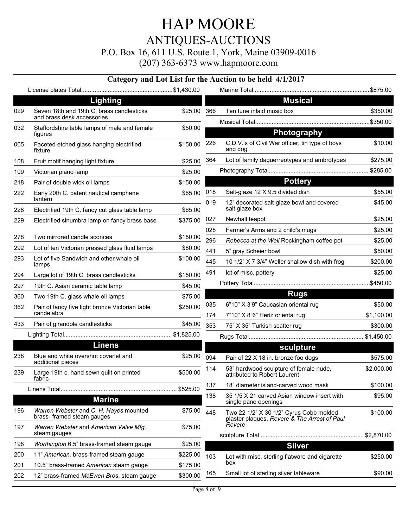P.O. Box 16, 611 U.S. Route 1, York, Maine 03909-0016

| <b>Musical</b><br><b>Lighting</b><br>Seven 18th and 19th C. brass candlesticks<br>029<br>\$25.00 366<br>Ten tune inlaid music box<br>\$350.00<br>and brass desk accessories<br>032<br>Staffordshire table lamps of male and female<br>\$50.00<br>Photography<br>figures<br>C.D.V.'s of Civil War officer, tin type of boys<br>\$10.00<br>226<br>\$150.00<br>Faceted etched glass hanging electrified<br>and dog<br>fixture<br>364<br>Lot of family daguerreotypes and ambrotypes<br>\$275.00<br>\$25.00<br>108<br>Fruit motif hanging light fixture<br>\$25.00<br>109<br>Victorian piano lamp<br><b>Pottery</b><br>Pair of double wick oil lamps<br>\$150.00<br>Salt-glaze 12 X 9.5 divided dish<br>\$55.00<br>018<br>\$65.00<br>222<br>Early 20th C. patent nautical camphene<br>lantern<br>019<br>12" decorated salt-glaze bowl and covered<br>\$45.00<br>salt glaze box<br>\$65.00<br>228<br>Electrified 19th C. fancy cut glass table lamp<br>\$25.00<br>Newhall teapot<br>027<br>\$375.00<br>229<br>Electrified sinumbra lamp on fancy brass base<br>028<br>Farmer's Arms and 2 child's mugs<br>\$25.00<br>278<br>Two mirrored candle sconces<br>\$150.00<br>296<br>Rebecca at the Well Rockingham coffee pot<br>\$25.00<br>Lot of ten Victorian pressed glass fluid lamps<br>292<br>\$80.00<br>441<br>5" gray Scheier bowl<br>\$50.00<br>Lot of five Sandwich and other whale oil<br>293<br>\$100.00<br>445<br>10 1/2" X 7 3/4" Weller shallow dish with frog<br>\$200.00<br>lamps<br>491<br>lot of misc. pottery<br>\$25.00<br>\$150.00<br>294<br>Large lot of 19th C. brass candlesticks<br>\$45.00<br>297<br>19th C. Asian ceramic table lamp<br><b>Rugs</b><br>360<br>Two 19th C. glass whale oil lamps<br>\$75.00<br>035<br>6"10" X 3'9" Caucasian oriental rug<br>\$50.00<br>\$250.00<br>362<br>Pair of fancy five light bronze Victorian table<br>candelabra<br>7"10" X 8"6" Heriz oriental rug<br>\$1,100.00<br>174<br>Pair of girandole candlesticks<br>433<br>\$45.00<br>353<br>75" X 35" Turkish scatter rug<br>\$300.00<br><b>Linens</b><br>sculpture<br>Blue and white overshot coverlet and<br>238<br>\$25.00<br>094<br>Pair of 22 X 18 in. bronze foo dogs<br>\$575.00<br>additional pieces<br>53" hardwood sculpture of female nude,<br>\$2,000.00<br>114<br>\$500.00<br>239<br>Large 19th c. hand sewn quilt on printed<br>attributed to Robert Laurent<br>fabric<br>137<br>18" diameter island-carved wood mask<br>\$525.00<br>138<br>35 1/5 X 21 carved Asian window insert with<br>\$95.00<br><b>Marine</b><br>single pane openings<br>Warren Webster and C. H. Hayes mounted<br>196<br>\$75.00<br>448<br>\$100.00<br>Two 22 1/2" X 30 1/2" Cyrus Cobb molded<br>brass- framed steam gauges<br>plaster plaques, Revere & The Arrest of Paul<br>Revere<br>Warren Webster and American Valve Mfg.<br>197<br>\$75.00<br>steam gauges<br>\$2,870.00<br>198<br>Worthington 6.5" brass-framed steam gauge<br>\$25.00<br><b>Silver</b><br>11" American, brass-framed steam gauge<br>\$225.00<br>200<br>103<br>Lot with misc. sterling flatware and cigarette<br>\$250.00<br>box<br>10.5" brass-framed American steam gauge<br>201<br>\$175.00<br>\$90.00<br>165<br>Small lot of sterling silver tableware<br>\$300.00<br>202<br>12" brass-framed McEwen Bros. steam gauge |     |  | Category and Lot List for the Auction to be held 4/1/2017 |  |
|----------------------------------------------------------------------------------------------------------------------------------------------------------------------------------------------------------------------------------------------------------------------------------------------------------------------------------------------------------------------------------------------------------------------------------------------------------------------------------------------------------------------------------------------------------------------------------------------------------------------------------------------------------------------------------------------------------------------------------------------------------------------------------------------------------------------------------------------------------------------------------------------------------------------------------------------------------------------------------------------------------------------------------------------------------------------------------------------------------------------------------------------------------------------------------------------------------------------------------------------------------------------------------------------------------------------------------------------------------------------------------------------------------------------------------------------------------------------------------------------------------------------------------------------------------------------------------------------------------------------------------------------------------------------------------------------------------------------------------------------------------------------------------------------------------------------------------------------------------------------------------------------------------------------------------------------------------------------------------------------------------------------------------------------------------------------------------------------------------------------------------------------------------------------------------------------------------------------------------------------------------------------------------------------------------------------------------------------------------------------------------------------------------------------------------------------------------------------------------------------------------------------------------------------------------------------------------------------------------------------------------------------------------------------------------------------------------------------------------------------------------------------------------------------------------------------------------------------------------------------------------------------------------------------------------------------------------------------------------------------------------------------------------------------------------------------------------------------------------------------------------------------------------------------------------------------------------------------------------------------------------------------------------------------|-----|--|-----------------------------------------------------------|--|
|                                                                                                                                                                                                                                                                                                                                                                                                                                                                                                                                                                                                                                                                                                                                                                                                                                                                                                                                                                                                                                                                                                                                                                                                                                                                                                                                                                                                                                                                                                                                                                                                                                                                                                                                                                                                                                                                                                                                                                                                                                                                                                                                                                                                                                                                                                                                                                                                                                                                                                                                                                                                                                                                                                                                                                                                                                                                                                                                                                                                                                                                                                                                                                                                                                                                                              |     |  |                                                           |  |
| \$100.00                                                                                                                                                                                                                                                                                                                                                                                                                                                                                                                                                                                                                                                                                                                                                                                                                                                                                                                                                                                                                                                                                                                                                                                                                                                                                                                                                                                                                                                                                                                                                                                                                                                                                                                                                                                                                                                                                                                                                                                                                                                                                                                                                                                                                                                                                                                                                                                                                                                                                                                                                                                                                                                                                                                                                                                                                                                                                                                                                                                                                                                                                                                                                                                                                                                                                     |     |  |                                                           |  |
|                                                                                                                                                                                                                                                                                                                                                                                                                                                                                                                                                                                                                                                                                                                                                                                                                                                                                                                                                                                                                                                                                                                                                                                                                                                                                                                                                                                                                                                                                                                                                                                                                                                                                                                                                                                                                                                                                                                                                                                                                                                                                                                                                                                                                                                                                                                                                                                                                                                                                                                                                                                                                                                                                                                                                                                                                                                                                                                                                                                                                                                                                                                                                                                                                                                                                              |     |  |                                                           |  |
|                                                                                                                                                                                                                                                                                                                                                                                                                                                                                                                                                                                                                                                                                                                                                                                                                                                                                                                                                                                                                                                                                                                                                                                                                                                                                                                                                                                                                                                                                                                                                                                                                                                                                                                                                                                                                                                                                                                                                                                                                                                                                                                                                                                                                                                                                                                                                                                                                                                                                                                                                                                                                                                                                                                                                                                                                                                                                                                                                                                                                                                                                                                                                                                                                                                                                              |     |  |                                                           |  |
|                                                                                                                                                                                                                                                                                                                                                                                                                                                                                                                                                                                                                                                                                                                                                                                                                                                                                                                                                                                                                                                                                                                                                                                                                                                                                                                                                                                                                                                                                                                                                                                                                                                                                                                                                                                                                                                                                                                                                                                                                                                                                                                                                                                                                                                                                                                                                                                                                                                                                                                                                                                                                                                                                                                                                                                                                                                                                                                                                                                                                                                                                                                                                                                                                                                                                              |     |  |                                                           |  |
|                                                                                                                                                                                                                                                                                                                                                                                                                                                                                                                                                                                                                                                                                                                                                                                                                                                                                                                                                                                                                                                                                                                                                                                                                                                                                                                                                                                                                                                                                                                                                                                                                                                                                                                                                                                                                                                                                                                                                                                                                                                                                                                                                                                                                                                                                                                                                                                                                                                                                                                                                                                                                                                                                                                                                                                                                                                                                                                                                                                                                                                                                                                                                                                                                                                                                              | 065 |  |                                                           |  |
|                                                                                                                                                                                                                                                                                                                                                                                                                                                                                                                                                                                                                                                                                                                                                                                                                                                                                                                                                                                                                                                                                                                                                                                                                                                                                                                                                                                                                                                                                                                                                                                                                                                                                                                                                                                                                                                                                                                                                                                                                                                                                                                                                                                                                                                                                                                                                                                                                                                                                                                                                                                                                                                                                                                                                                                                                                                                                                                                                                                                                                                                                                                                                                                                                                                                                              |     |  |                                                           |  |
|                                                                                                                                                                                                                                                                                                                                                                                                                                                                                                                                                                                                                                                                                                                                                                                                                                                                                                                                                                                                                                                                                                                                                                                                                                                                                                                                                                                                                                                                                                                                                                                                                                                                                                                                                                                                                                                                                                                                                                                                                                                                                                                                                                                                                                                                                                                                                                                                                                                                                                                                                                                                                                                                                                                                                                                                                                                                                                                                                                                                                                                                                                                                                                                                                                                                                              |     |  |                                                           |  |
|                                                                                                                                                                                                                                                                                                                                                                                                                                                                                                                                                                                                                                                                                                                                                                                                                                                                                                                                                                                                                                                                                                                                                                                                                                                                                                                                                                                                                                                                                                                                                                                                                                                                                                                                                                                                                                                                                                                                                                                                                                                                                                                                                                                                                                                                                                                                                                                                                                                                                                                                                                                                                                                                                                                                                                                                                                                                                                                                                                                                                                                                                                                                                                                                                                                                                              | 218 |  |                                                           |  |
|                                                                                                                                                                                                                                                                                                                                                                                                                                                                                                                                                                                                                                                                                                                                                                                                                                                                                                                                                                                                                                                                                                                                                                                                                                                                                                                                                                                                                                                                                                                                                                                                                                                                                                                                                                                                                                                                                                                                                                                                                                                                                                                                                                                                                                                                                                                                                                                                                                                                                                                                                                                                                                                                                                                                                                                                                                                                                                                                                                                                                                                                                                                                                                                                                                                                                              |     |  |                                                           |  |
|                                                                                                                                                                                                                                                                                                                                                                                                                                                                                                                                                                                                                                                                                                                                                                                                                                                                                                                                                                                                                                                                                                                                                                                                                                                                                                                                                                                                                                                                                                                                                                                                                                                                                                                                                                                                                                                                                                                                                                                                                                                                                                                                                                                                                                                                                                                                                                                                                                                                                                                                                                                                                                                                                                                                                                                                                                                                                                                                                                                                                                                                                                                                                                                                                                                                                              |     |  |                                                           |  |
|                                                                                                                                                                                                                                                                                                                                                                                                                                                                                                                                                                                                                                                                                                                                                                                                                                                                                                                                                                                                                                                                                                                                                                                                                                                                                                                                                                                                                                                                                                                                                                                                                                                                                                                                                                                                                                                                                                                                                                                                                                                                                                                                                                                                                                                                                                                                                                                                                                                                                                                                                                                                                                                                                                                                                                                                                                                                                                                                                                                                                                                                                                                                                                                                                                                                                              |     |  |                                                           |  |
|                                                                                                                                                                                                                                                                                                                                                                                                                                                                                                                                                                                                                                                                                                                                                                                                                                                                                                                                                                                                                                                                                                                                                                                                                                                                                                                                                                                                                                                                                                                                                                                                                                                                                                                                                                                                                                                                                                                                                                                                                                                                                                                                                                                                                                                                                                                                                                                                                                                                                                                                                                                                                                                                                                                                                                                                                                                                                                                                                                                                                                                                                                                                                                                                                                                                                              |     |  |                                                           |  |
|                                                                                                                                                                                                                                                                                                                                                                                                                                                                                                                                                                                                                                                                                                                                                                                                                                                                                                                                                                                                                                                                                                                                                                                                                                                                                                                                                                                                                                                                                                                                                                                                                                                                                                                                                                                                                                                                                                                                                                                                                                                                                                                                                                                                                                                                                                                                                                                                                                                                                                                                                                                                                                                                                                                                                                                                                                                                                                                                                                                                                                                                                                                                                                                                                                                                                              |     |  |                                                           |  |
|                                                                                                                                                                                                                                                                                                                                                                                                                                                                                                                                                                                                                                                                                                                                                                                                                                                                                                                                                                                                                                                                                                                                                                                                                                                                                                                                                                                                                                                                                                                                                                                                                                                                                                                                                                                                                                                                                                                                                                                                                                                                                                                                                                                                                                                                                                                                                                                                                                                                                                                                                                                                                                                                                                                                                                                                                                                                                                                                                                                                                                                                                                                                                                                                                                                                                              |     |  |                                                           |  |
|                                                                                                                                                                                                                                                                                                                                                                                                                                                                                                                                                                                                                                                                                                                                                                                                                                                                                                                                                                                                                                                                                                                                                                                                                                                                                                                                                                                                                                                                                                                                                                                                                                                                                                                                                                                                                                                                                                                                                                                                                                                                                                                                                                                                                                                                                                                                                                                                                                                                                                                                                                                                                                                                                                                                                                                                                                                                                                                                                                                                                                                                                                                                                                                                                                                                                              |     |  |                                                           |  |
|                                                                                                                                                                                                                                                                                                                                                                                                                                                                                                                                                                                                                                                                                                                                                                                                                                                                                                                                                                                                                                                                                                                                                                                                                                                                                                                                                                                                                                                                                                                                                                                                                                                                                                                                                                                                                                                                                                                                                                                                                                                                                                                                                                                                                                                                                                                                                                                                                                                                                                                                                                                                                                                                                                                                                                                                                                                                                                                                                                                                                                                                                                                                                                                                                                                                                              |     |  |                                                           |  |
|                                                                                                                                                                                                                                                                                                                                                                                                                                                                                                                                                                                                                                                                                                                                                                                                                                                                                                                                                                                                                                                                                                                                                                                                                                                                                                                                                                                                                                                                                                                                                                                                                                                                                                                                                                                                                                                                                                                                                                                                                                                                                                                                                                                                                                                                                                                                                                                                                                                                                                                                                                                                                                                                                                                                                                                                                                                                                                                                                                                                                                                                                                                                                                                                                                                                                              |     |  |                                                           |  |
|                                                                                                                                                                                                                                                                                                                                                                                                                                                                                                                                                                                                                                                                                                                                                                                                                                                                                                                                                                                                                                                                                                                                                                                                                                                                                                                                                                                                                                                                                                                                                                                                                                                                                                                                                                                                                                                                                                                                                                                                                                                                                                                                                                                                                                                                                                                                                                                                                                                                                                                                                                                                                                                                                                                                                                                                                                                                                                                                                                                                                                                                                                                                                                                                                                                                                              |     |  |                                                           |  |
|                                                                                                                                                                                                                                                                                                                                                                                                                                                                                                                                                                                                                                                                                                                                                                                                                                                                                                                                                                                                                                                                                                                                                                                                                                                                                                                                                                                                                                                                                                                                                                                                                                                                                                                                                                                                                                                                                                                                                                                                                                                                                                                                                                                                                                                                                                                                                                                                                                                                                                                                                                                                                                                                                                                                                                                                                                                                                                                                                                                                                                                                                                                                                                                                                                                                                              |     |  |                                                           |  |
|                                                                                                                                                                                                                                                                                                                                                                                                                                                                                                                                                                                                                                                                                                                                                                                                                                                                                                                                                                                                                                                                                                                                                                                                                                                                                                                                                                                                                                                                                                                                                                                                                                                                                                                                                                                                                                                                                                                                                                                                                                                                                                                                                                                                                                                                                                                                                                                                                                                                                                                                                                                                                                                                                                                                                                                                                                                                                                                                                                                                                                                                                                                                                                                                                                                                                              |     |  |                                                           |  |
|                                                                                                                                                                                                                                                                                                                                                                                                                                                                                                                                                                                                                                                                                                                                                                                                                                                                                                                                                                                                                                                                                                                                                                                                                                                                                                                                                                                                                                                                                                                                                                                                                                                                                                                                                                                                                                                                                                                                                                                                                                                                                                                                                                                                                                                                                                                                                                                                                                                                                                                                                                                                                                                                                                                                                                                                                                                                                                                                                                                                                                                                                                                                                                                                                                                                                              |     |  |                                                           |  |
|                                                                                                                                                                                                                                                                                                                                                                                                                                                                                                                                                                                                                                                                                                                                                                                                                                                                                                                                                                                                                                                                                                                                                                                                                                                                                                                                                                                                                                                                                                                                                                                                                                                                                                                                                                                                                                                                                                                                                                                                                                                                                                                                                                                                                                                                                                                                                                                                                                                                                                                                                                                                                                                                                                                                                                                                                                                                                                                                                                                                                                                                                                                                                                                                                                                                                              |     |  |                                                           |  |
|                                                                                                                                                                                                                                                                                                                                                                                                                                                                                                                                                                                                                                                                                                                                                                                                                                                                                                                                                                                                                                                                                                                                                                                                                                                                                                                                                                                                                                                                                                                                                                                                                                                                                                                                                                                                                                                                                                                                                                                                                                                                                                                                                                                                                                                                                                                                                                                                                                                                                                                                                                                                                                                                                                                                                                                                                                                                                                                                                                                                                                                                                                                                                                                                                                                                                              |     |  |                                                           |  |
|                                                                                                                                                                                                                                                                                                                                                                                                                                                                                                                                                                                                                                                                                                                                                                                                                                                                                                                                                                                                                                                                                                                                                                                                                                                                                                                                                                                                                                                                                                                                                                                                                                                                                                                                                                                                                                                                                                                                                                                                                                                                                                                                                                                                                                                                                                                                                                                                                                                                                                                                                                                                                                                                                                                                                                                                                                                                                                                                                                                                                                                                                                                                                                                                                                                                                              |     |  |                                                           |  |
|                                                                                                                                                                                                                                                                                                                                                                                                                                                                                                                                                                                                                                                                                                                                                                                                                                                                                                                                                                                                                                                                                                                                                                                                                                                                                                                                                                                                                                                                                                                                                                                                                                                                                                                                                                                                                                                                                                                                                                                                                                                                                                                                                                                                                                                                                                                                                                                                                                                                                                                                                                                                                                                                                                                                                                                                                                                                                                                                                                                                                                                                                                                                                                                                                                                                                              |     |  |                                                           |  |
|                                                                                                                                                                                                                                                                                                                                                                                                                                                                                                                                                                                                                                                                                                                                                                                                                                                                                                                                                                                                                                                                                                                                                                                                                                                                                                                                                                                                                                                                                                                                                                                                                                                                                                                                                                                                                                                                                                                                                                                                                                                                                                                                                                                                                                                                                                                                                                                                                                                                                                                                                                                                                                                                                                                                                                                                                                                                                                                                                                                                                                                                                                                                                                                                                                                                                              |     |  |                                                           |  |
|                                                                                                                                                                                                                                                                                                                                                                                                                                                                                                                                                                                                                                                                                                                                                                                                                                                                                                                                                                                                                                                                                                                                                                                                                                                                                                                                                                                                                                                                                                                                                                                                                                                                                                                                                                                                                                                                                                                                                                                                                                                                                                                                                                                                                                                                                                                                                                                                                                                                                                                                                                                                                                                                                                                                                                                                                                                                                                                                                                                                                                                                                                                                                                                                                                                                                              |     |  |                                                           |  |
|                                                                                                                                                                                                                                                                                                                                                                                                                                                                                                                                                                                                                                                                                                                                                                                                                                                                                                                                                                                                                                                                                                                                                                                                                                                                                                                                                                                                                                                                                                                                                                                                                                                                                                                                                                                                                                                                                                                                                                                                                                                                                                                                                                                                                                                                                                                                                                                                                                                                                                                                                                                                                                                                                                                                                                                                                                                                                                                                                                                                                                                                                                                                                                                                                                                                                              |     |  |                                                           |  |
|                                                                                                                                                                                                                                                                                                                                                                                                                                                                                                                                                                                                                                                                                                                                                                                                                                                                                                                                                                                                                                                                                                                                                                                                                                                                                                                                                                                                                                                                                                                                                                                                                                                                                                                                                                                                                                                                                                                                                                                                                                                                                                                                                                                                                                                                                                                                                                                                                                                                                                                                                                                                                                                                                                                                                                                                                                                                                                                                                                                                                                                                                                                                                                                                                                                                                              |     |  |                                                           |  |
|                                                                                                                                                                                                                                                                                                                                                                                                                                                                                                                                                                                                                                                                                                                                                                                                                                                                                                                                                                                                                                                                                                                                                                                                                                                                                                                                                                                                                                                                                                                                                                                                                                                                                                                                                                                                                                                                                                                                                                                                                                                                                                                                                                                                                                                                                                                                                                                                                                                                                                                                                                                                                                                                                                                                                                                                                                                                                                                                                                                                                                                                                                                                                                                                                                                                                              |     |  |                                                           |  |
|                                                                                                                                                                                                                                                                                                                                                                                                                                                                                                                                                                                                                                                                                                                                                                                                                                                                                                                                                                                                                                                                                                                                                                                                                                                                                                                                                                                                                                                                                                                                                                                                                                                                                                                                                                                                                                                                                                                                                                                                                                                                                                                                                                                                                                                                                                                                                                                                                                                                                                                                                                                                                                                                                                                                                                                                                                                                                                                                                                                                                                                                                                                                                                                                                                                                                              |     |  |                                                           |  |
|                                                                                                                                                                                                                                                                                                                                                                                                                                                                                                                                                                                                                                                                                                                                                                                                                                                                                                                                                                                                                                                                                                                                                                                                                                                                                                                                                                                                                                                                                                                                                                                                                                                                                                                                                                                                                                                                                                                                                                                                                                                                                                                                                                                                                                                                                                                                                                                                                                                                                                                                                                                                                                                                                                                                                                                                                                                                                                                                                                                                                                                                                                                                                                                                                                                                                              |     |  |                                                           |  |
|                                                                                                                                                                                                                                                                                                                                                                                                                                                                                                                                                                                                                                                                                                                                                                                                                                                                                                                                                                                                                                                                                                                                                                                                                                                                                                                                                                                                                                                                                                                                                                                                                                                                                                                                                                                                                                                                                                                                                                                                                                                                                                                                                                                                                                                                                                                                                                                                                                                                                                                                                                                                                                                                                                                                                                                                                                                                                                                                                                                                                                                                                                                                                                                                                                                                                              |     |  |                                                           |  |